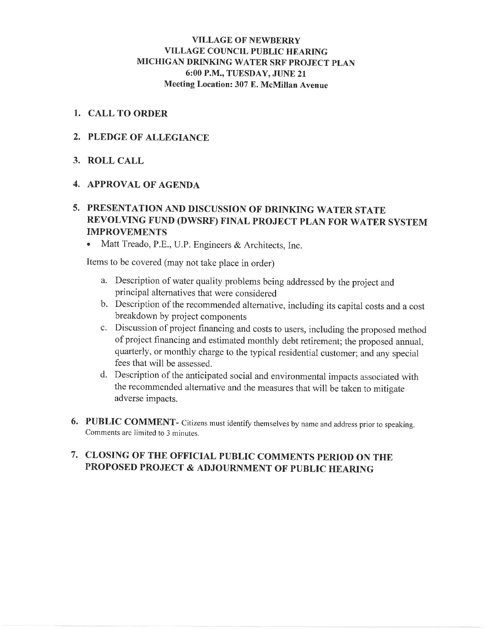# **VILLAGE OF NEWBERRY VILLAGE COUNCIL PUBLIC HEARING** MICHIGAN DRINKING WATER SRF PROJECT PLAN 6:00 P.M., TUESDAY, JUNE 21 Meeting Location: 307 E. McMillan Avenue

# 1. CALL TO ORDER

# 2. PLEDGE OF ALLEGIANCE

# 3. ROLL CALL

# **4. APPROVAL OF AGENDA**

# 5. PRESENTATION AND DISCUSSION OF DRINKING WATER STATE REVOLVING FUND (DWSRF) FINAL PROJECT PLAN FOR WATER SYSTEM **IMPROVEMENTS**

Matt Treado, P.E., U.P. Engineers & Architects, Inc.

Items to be covered (may not take place in order)

- a. Description of water quality problems being addressed by the project and principal alternatives that were considered
- b. Description of the recommended alternative, including its capital costs and a cost breakdown by project components
- c. Discussion of project financing and costs to users, including the proposed method of project financing and estimated monthly debt retirement; the proposed annual, quarterly, or monthly charge to the typical residential customer; and any special fees that will be assessed.
- d. Description of the anticipated social and environmental impacts associated with the recommended alternative and the measures that will be taken to mitigate adverse impacts.
- 6. PUBLIC COMMENT- Citizens must identify themselves by name and address prior to speaking. Comments are limited to 3 minutes.

# 7. CLOSING OF THE OFFICIAL PUBLIC COMMENTS PERIOD ON THE PROPOSED PROJECT & ADJOURNMENT OF PUBLIC HEARING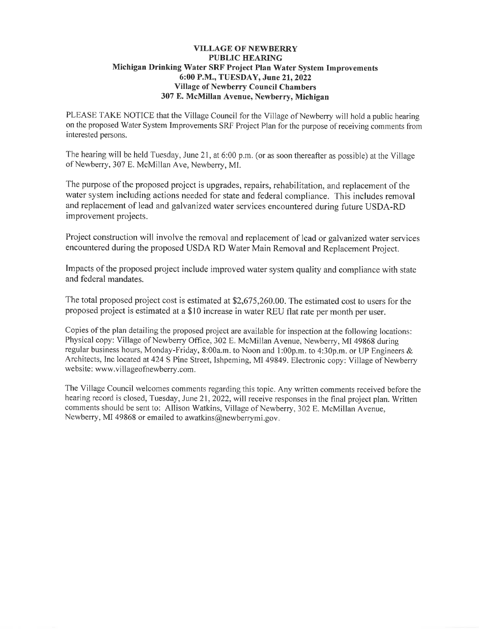### **VILLAGE OF NEWBERRY PUBLIC HEARING** Michigan Drinking Water SRF Project Plan Water System Improvements 6:00 P.M., TUESDAY, June 21, 2022 **Village of Newberry Council Chambers** 307 E. McMillan Avenue, Newberry, Michigan

PLEASE TAKE NOTICE that the Village Council for the Village of Newberry will hold a public hearing on the proposed Water System Improvements SRF Project Plan for the purpose of receiving comments from interested persons.

The hearing will be held Tuesday, June 21, at 6:00 p.m. (or as soon thereafter as possible) at the Village of Newberry, 307 E. McMillan Ave, Newberry, MI.

The purpose of the proposed project is upgrades, repairs, rehabilitation, and replacement of the water system including actions needed for state and federal compliance. This includes removal and replacement of lead and galvanized water services encountered during future USDA-RD improvement projects.

Project construction will involve the removal and replacement of lead or galvanized water services encountered during the proposed USDA RD Water Main Removal and Replacement Project.

Impacts of the proposed project include improved water system quality and compliance with state and federal mandates.

The total proposed project cost is estimated at \$2,675,260.00. The estimated cost to users for the proposed project is estimated at a \$10 increase in water REU flat rate per month per user.

Copies of the plan detailing the proposed project are available for inspection at the following locations: Physical copy: Village of Newberry Office, 302 E. McMillan Avenue, Newberry, MI 49868 during regular business hours, Monday-Friday, 8:00a.m. to Noon and 1:00p.m. to 4:30p.m. or UP Engineers & Architects, Inc located at 424 S Pine Street, Ishpeming, MI 49849. Electronic copy: Village of Newberry website: www.villageofnewberry.com.

The Village Council welcomes comments regarding this topic. Any written comments received before the hearing record is closed, Tuesday, June 21, 2022, will receive responses in the final project plan. Written comments should be sent to: Allison Watkins, Village of Newberry, 302 E. McMillan Avenue, Newberry, MI 49868 or emailed to awatkins@newberrymi.gov.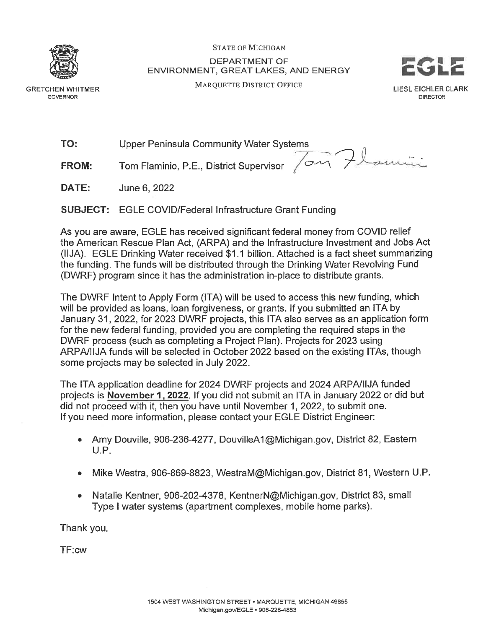

**GRETCHEN WHITMER GOVERNOR** 

**STATE OF MICHIGAN DEPARTMENT OF** ENVIRONMENT, GREAT LAKES, AND ENERGY

MAROUETTE DISTRICT OFFICE



TO: **Upper Peninsula Community Water Systems** 

Tom Flaminio, P.E., District Supervisor 7 am Flamini **FROM:** 

DATE: June 6, 2022

**SUBJECT:** EGLE COVID/Federal Infrastructure Grant Funding

As you are aware, EGLE has received significant federal money from COVID relief the American Rescue Plan Act. (ARPA) and the Infrastructure Investment and Jobs Act (IIJA). EGLE Drinking Water received \$1.1 billion. Attached is a fact sheet summarizing the funding. The funds will be distributed through the Drinking Water Revolving Fund (DWRF) program since it has the administration in-place to distribute grants.

The DWRF Intent to Apply Form (ITA) will be used to access this new funding, which will be provided as loans, loan forgiveness, or grants. If you submitted an ITA by January 31, 2022, for 2023 DWRF projects, this ITA also serves as an application form for the new federal funding, provided you are completing the required steps in the DWRF process (such as completing a Project Plan). Projects for 2023 using ARPA/IIJA funds will be selected in October 2022 based on the existing ITAs, though some projects may be selected in July 2022.

The ITA application deadline for 2024 DWRF projects and 2024 ARPA/IIJA funded projects is November 1, 2022. If you did not submit an ITA in January 2022 or did but did not proceed with it, then you have until November 1, 2022, to submit one. If you need more information, please contact your EGLE District Engineer:

- Amy Douville, 906-236-4277, DouvilleA1@Michigan.gov, District 82, Eastern  $U.P.$
- Mike Westra, 906-869-8823, WestraM@Michigan.gov, District 81, Western U.P.  $\bullet$
- Natalie Kentner, 906-202-4378, KentnerN@Michigan.gov, District 83, small  $\bullet$ Type I water systems (apartment complexes, mobile home parks).

Thank you.

TF:cw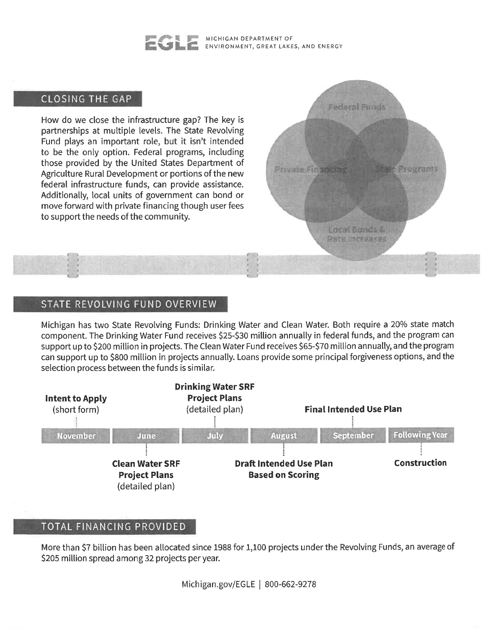#### MICHIGAN DEPARTMENT OF ENVIRONMENT, GREAT LAKES, AND ENERGY

Federal Funds

Local Bonds & Rate Increases

**Private Financing** 

Programs

# CLOSING THE GAP

How do we close the infrastructure gap? The key is partnerships at multiple levels. The State Revolving Fund plays an important role, but it isn't intended to be the only option. Federal programs, including those provided by the United States Department of Agriculture Rural Development or portions of the new federal infrastructure funds, can provide assistance. Additionally, local units of government can bond or move forward with private financing though user fees to support the needs of the community.

# STATE REVOLVING FUND OVERVIEW

Michigan has two State Revolving Funds: Drinking Water and Clean Water. Both require a 20% state match component. The Drinking Water Fund receives \$25-\$30 million annually in federal funds, and the program can support up to \$200 million in projects. The Clean Water Fund receives \$65-\$70 million annually, and the program can support up to \$800 million in projects annually. Loans provide some principal forgiveness options, and the selection process between the funds is similar.



# TOTAL FINANCING PROVIDED

More than \$7 billion has been allocated since 1988 for 1,100 projects under the Revolving Funds, an average of \$205 million spread among 32 projects per year.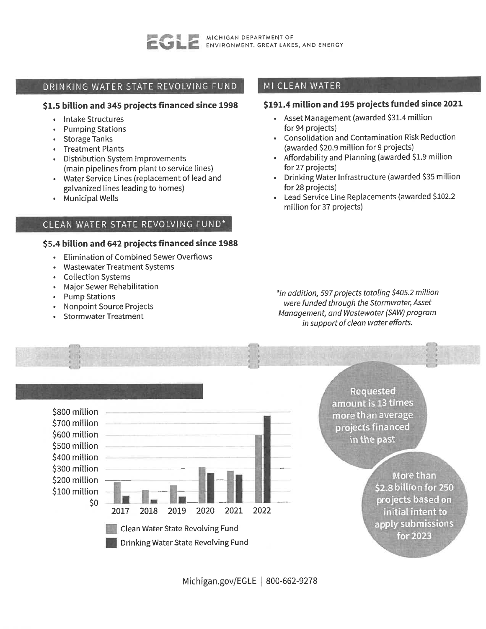

# DRINKING WATER STATE REVOLVING FUND

## \$1.5 billion and 345 projects financed since 1998

- Intake Structures
- **Pumping Stations**
- Storage Tanks
- Treatment Plants
- Distribution System Improvements (main pipelines from plant to service lines)
- Water Service Lines (replacement of lead and galvanized lines leading to homes)
- Municipal Wells

# CLEAN WATER STATE REVOLVING FUND\*

### \$5.4 billion and 642 projects financed since 1988

- Elimination of Combined Sewer Overflows  $\bullet$  .
- Wastewater Treatment Systems
- **Collection Systems**
- Major Sewer Rehabilitation
- **Pump Stations**
- **Nonpoint Source Projects**
- **Stormwater Treatment**

# MI CLEAN WATER

# \$191.4 million and 195 projects funded since 2021

- Asset Management (awarded \$31.4 million for 94 projects)
- Consolidation and Contamination Risk Reduction (awarded \$20.9 million for 9 projects)
- Affordability and Planning (awarded \$1.9 million for 27 projects)
- · Drinking Water Infrastructure (awarded \$35 million for 28 projects)
- Lead Service Line Replacements (awarded \$102.2 million for 37 projects)

\*In addition, 597 projects totaling \$405.2 million were funded through the Stormwater, Asset Management, and Wastewater (SAW) program in support of clean water efforts.



Requested amount is 13 times more than average projects financed in the past

> More than \$2.8 billion for 250 projects based on initial intent to apply submissions for 2023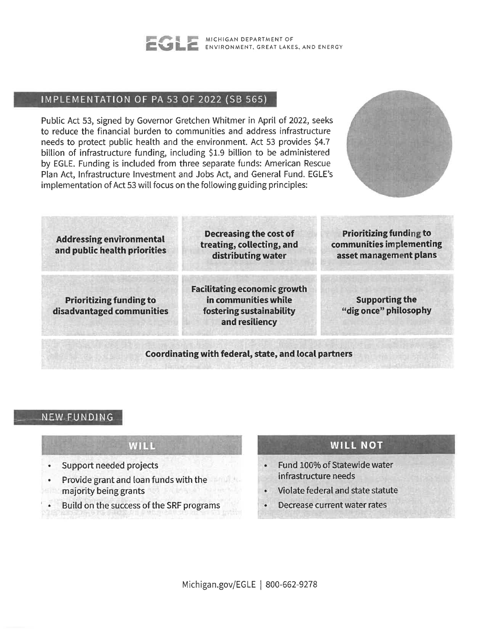

# IMPLEMENTATION OF PA 53 OF 2022 (SB 565)

Public Act 53, signed by Governor Gretchen Whitmer in April of 2022, seeks to reduce the financial burden to communities and address infrastructure needs to protect public health and the environment. Act 53 provides \$4.7 billion of infrastructure funding, including \$1.9 billion to be administered by EGLE. Funding is included from three separate funds: American Rescue Plan Act, Infrastructure Investment and Jobs Act, and General Fund. EGLE's implementation of Act 53 will focus on the following guiding principles:



**Prioritizing funding to** Decreasing the cost of **Addressing environmental** treating, collecting, and communities implementing and public health priorities distributing water asset management plans **Facilitating economic growth** 

**Prioritizing funding to** disadvantaged communities in communities while

fostering sustainability

and resiliency

**Supporting the** "dig once" philosophy

## Coordinating with federal, state, and local partners

# NEW FUNDING

# WILL

- Support needed projects
- Provide grant and loan funds with the majority being grants
- Build on the success of the SRF programs

# **WILL NOT**

- Fund 100% of Statewide water infrastructure needs
- Violate federal and state statute
- Decrease current water rates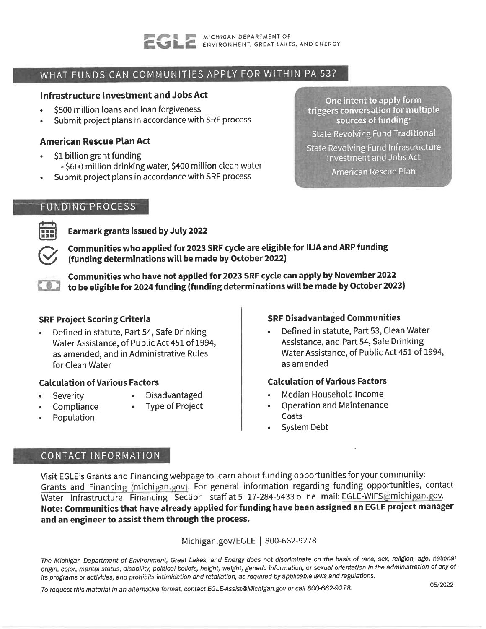

# WHAT FUNDS CAN COMMUNITIES APPLY FOR WITHIN PA 53?

# Infrastructure Investment and Jobs Act

- \$500 million loans and loan forgiveness
- Submit project plans in accordance with SRF process

# **American Rescue Plan Act**

- \$1 billion grant funding
	- \$600 million drinking water, \$400 million clean water
- Submit project plans in accordance with SRF process

## **FUNDING PROCESS**



**Earmark grants issued by July 2022** 

Communities who applied for 2023 SRF cycle are eligible for IIJA and ARP funding (funding determinations will be made by October 2022)

Communities who have not applied for 2023 SRF cycle can apply by November 2022 to be eligible for 2024 funding (funding determinations will be made by October 2023)

# **SRF Project Scoring Criteria**

Defined in statute, Part 54, Safe Drinking Water Assistance, of Public Act 451 of 1994, as amended, and in Administrative Rules for Clean Water

# **Calculation of Various Factors**

- Severity
- Disadvantaged
- Compliance
- **Type of Project**
- Population

# **SRF Disadvantaged Communities**

Defined in statute, Part 53, Clean Water Assistance, and Part 54, Safe Drinking Water Assistance, of Public Act 451 of 1994, as amended

## **Calculation of Various Factors**

- Median Household Income
- **Operation and Maintenance** Costs
- **System Debt**

# CONTACT INFORMATION

Visit EGLE's Grants and Financing webpage to learn about funding opportunities for your community: Grants and Financing (michigan.gov). For general information regarding funding opportunities, contact Water Infrastructure Financing Section staff at 5 17-284-5433 o re mail: EGLE-WIFS@michigan.gov. Note: Communities that have already applied for funding have been assigned an EGLE project manager and an engineer to assist them through the process.

Michigan.gov/EGLE | 800-662-9278

The Michigan Department of Environment, Great Lakes, and Energy does not discriminate on the basis of race, sex, religion, age, national origin, color, marital status, disability, political beliefs, height, weight, genetic information, or sexual orientation in the administration of any of its programs or activities, and prohibits intimidation and retaliation, as required by applicable laws and regulations.

To request this material in an alternative format, contact EGLE-Assist@Michigan.gov or call 800-662-9278.

05/2022

One intent to apply form triggers conversation for multiple sources of funding:

**State Revolving Fund Traditional** 

State Revolving Fund Infrastructure **Investment and Jobs Act** 

American Rescue Plan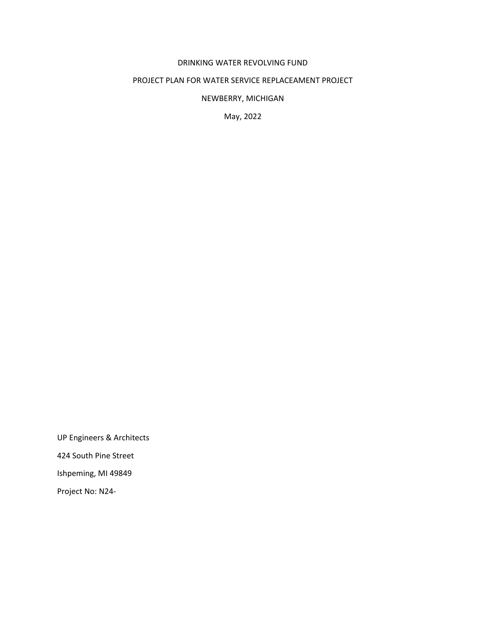# DRINKING WATER REVOLVING FUND

# PROJECT PLAN FOR WATER SERVICE REPLACEAMENT PROJECT

NEWBERRY, MICHIGAN

May, 2022

UP Engineers & Architects 424 South Pine Street Ishpeming, MI 49849 Project No: N24-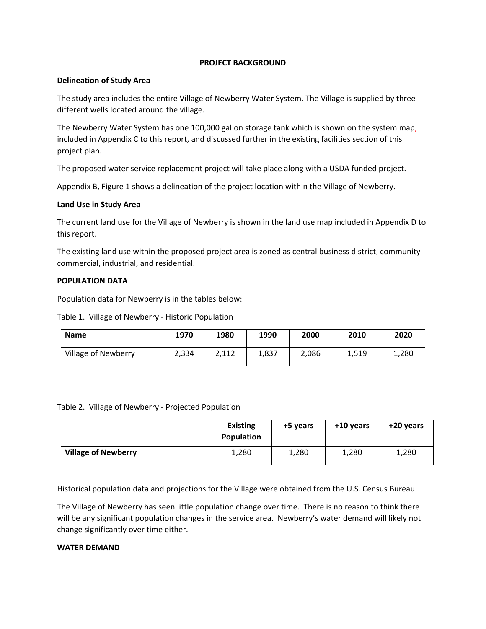## **PROJECT BACKGROUND**

### **Delineation of Study Area**

The study area includes the entire Village of Newberry Water System. The Village is supplied by three different wells located around the village.

The Newberry Water System has one 100,000 gallon storage tank which is shown on the system map, included in Appendix C to this report, and discussed further in the existing facilities section of this project plan.

The proposed water service replacement project will take place along with a USDA funded project.

Appendix B, Figure 1 shows a delineation of the project location within the Village of Newberry.

### **Land Use in Study Area**

The current land use for the Village of Newberry is shown in the land use map included in Appendix D to this report.

The existing land use within the proposed project area is zoned as central business district, community commercial, industrial, and residential.

### **POPULATION DATA**

Population data for Newberry is in the tables below:

Table 1. Village of Newberry - Historic Population

| <b>Name</b>         | 1970  | 1980  | 1990  | 2000  | 2010  | 2020  |
|---------------------|-------|-------|-------|-------|-------|-------|
| Village of Newberry | 2,334 | 2.112 | 1,837 | 2,086 | 1,519 | 1,280 |

| Table 2. Village of Newberry - Projected Population |  |  |  |  |
|-----------------------------------------------------|--|--|--|--|
|-----------------------------------------------------|--|--|--|--|

|                            | <b>Existing</b><br><b>Population</b> | +5 years | +10 years | +20 years |
|----------------------------|--------------------------------------|----------|-----------|-----------|
| <b>Village of Newberry</b> | 1,280                                | 1,280    | 1,280     | 1,280     |

Historical population data and projections for the Village were obtained from the U.S. Census Bureau.

The Village of Newberry has seen little population change over time. There is no reason to think there will be any significant population changes in the service area. Newberry's water demand will likely not change significantly over time either.

## **WATER DEMAND**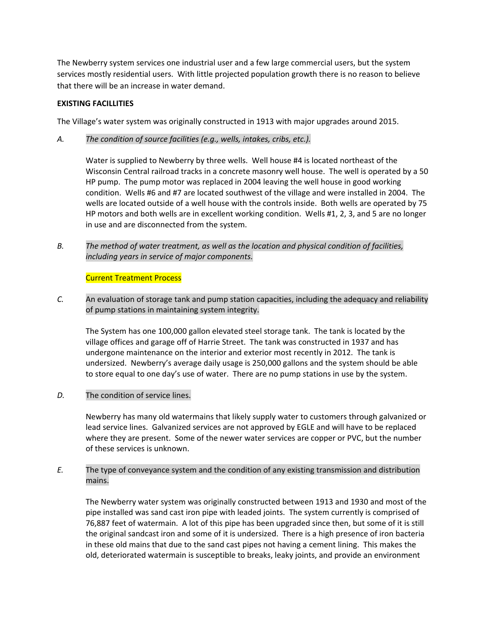The Newberry system services one industrial user and a few large commercial users, but the system services mostly residential users. With little projected population growth there is no reason to believe that there will be an increase in water demand.

## **EXISTING FACILLITIES**

The Village's water system was originally constructed in 1913 with major upgrades around 2015.

*A. The condition of source facilities (e.g., wells, intakes, cribs, etc.).*

Water is supplied to Newberry by three wells. Well house #4 is located northeast of the Wisconsin Central railroad tracks in a concrete masonry well house. The well is operated by a 50 HP pump. The pump motor was replaced in 2004 leaving the well house in good working condition. Wells #6 and #7 are located southwest of the village and were installed in 2004. The wells are located outside of a well house with the controls inside. Both wells are operated by 75 HP motors and both wells are in excellent working condition. Wells #1, 2, 3, and 5 are no longer in use and are disconnected from the system.

*B. The method of water treatment, as well as the location and physical condition of facilities, including years in service of major components.*

Current Treatment Process

*C.* An evaluation of storage tank and pump station capacities, including the adequacy and reliability of pump stations in maintaining system integrity.

 The System has one 100,000 gallon elevated steel storage tank. The tank is located by the village offices and garage off of Harrie Street. The tank was constructed in 1937 and has undergone maintenance on the interior and exterior most recently in 2012. The tank is undersized. Newberry's average daily usage is 250,000 gallons and the system should be able to store equal to one day's use of water. There are no pump stations in use by the system.

*D.* The condition of service lines.

 Newberry has many old watermains that likely supply water to customers through galvanized or lead service lines. Galvanized services are not approved by EGLE and will have to be replaced where they are present. Some of the newer water services are copper or PVC, but the number of these services is unknown.

*E.* The type of conveyance system and the condition of any existing transmission and distribution mains.

The Newberry water system was originally constructed between 1913 and 1930 and most of the pipe installed was sand cast iron pipe with leaded joints. The system currently is comprised of 76,887 feet of watermain. A lot of this pipe has been upgraded since then, but some of it is still the original sandcast iron and some of it is undersized. There is a high presence of iron bacteria in these old mains that due to the sand cast pipes not having a cement lining. This makes the old, deteriorated watermain is susceptible to breaks, leaky joints, and provide an environment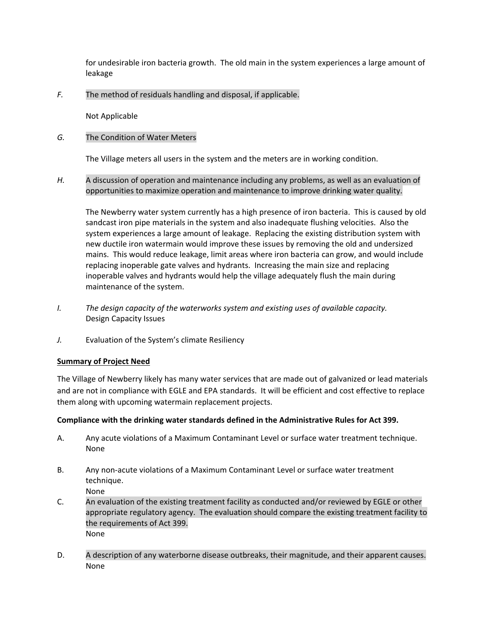for undesirable iron bacteria growth. The old main in the system experiences a large amount of leakage

*F.* The method of residuals handling and disposal, if applicable.

Not Applicable

## *G.* The Condition of Water Meters

The Village meters all users in the system and the meters are in working condition.

*H.* A discussion of operation and maintenance including any problems, as well as an evaluation of opportunities to maximize operation and maintenance to improve drinking water quality.

 The Newberry water system currently has a high presence of iron bacteria. This is caused by old sandcast iron pipe materials in the system and also inadequate flushing velocities. Also the system experiences a large amount of leakage. Replacing the existing distribution system with new ductile iron watermain would improve these issues by removing the old and undersized mains. This would reduce leakage, limit areas where iron bacteria can grow, and would include replacing inoperable gate valves and hydrants. Increasing the main size and replacing inoperable valves and hydrants would help the village adequately flush the main during maintenance of the system.

- *I. The design capacity of the waterworks system and existing uses of available capacity.* Design Capacity Issues
- *J.* Evaluation of the System's climate Resiliency

#### **Summary of Project Need**

The Village of Newberry likely has many water services that are made out of galvanized or lead materials and are not in compliance with EGLE and EPA standards. It will be efficient and cost effective to replace them along with upcoming watermain replacement projects.

#### **Compliance with the drinking water standards defined in the Administrative Rules for Act 399.**

- A. Any acute violations of a Maximum Contaminant Level or surface water treatment technique. None
- B. Any non-acute violations of a Maximum Contaminant Level or surface water treatment technique. None
- C. An evaluation of the existing treatment facility as conducted and/or reviewed by EGLE or other appropriate regulatory agency. The evaluation should compare the existing treatment facility to the requirements of Act 399. None
- D. A description of any waterborne disease outbreaks, their magnitude, and their apparent causes. None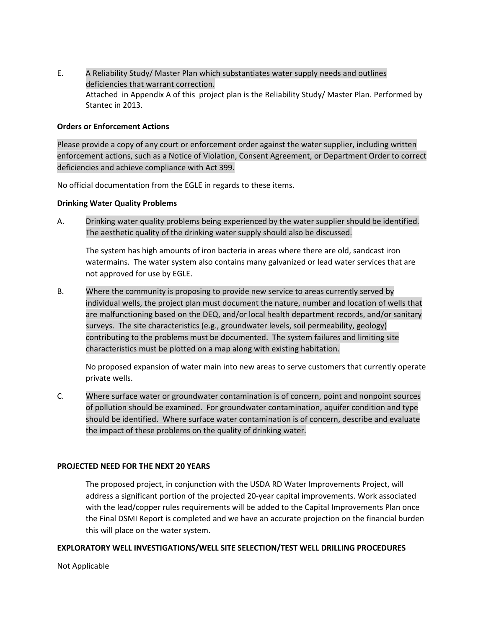E. A Reliability Study/ Master Plan which substantiates water supply needs and outlines deficiencies that warrant correction. Attached in Appendix A of this project plan is the Reliability Study/ Master Plan. Performed by Stantec in 2013.

## **Orders or Enforcement Actions**

Please provide a copy of any court or enforcement order against the water supplier, including written enforcement actions, such as a Notice of Violation, Consent Agreement, or Department Order to correct deficiencies and achieve compliance with Act 399.

No official documentation from the EGLE in regards to these items.

### **Drinking Water Quality Problems**

A. Drinking water quality problems being experienced by the water supplier should be identified. The aesthetic quality of the drinking water supply should also be discussed.

The system has high amounts of iron bacteria in areas where there are old, sandcast iron watermains. The water system also contains many galvanized or lead water services that are not approved for use by EGLE.

B. Where the community is proposing to provide new service to areas currently served by individual wells, the project plan must document the nature, number and location of wells that are malfunctioning based on the DEQ, and/or local health department records, and/or sanitary surveys. The site characteristics (e.g., groundwater levels, soil permeability, geology) contributing to the problems must be documented. The system failures and limiting site characteristics must be plotted on a map along with existing habitation.

No proposed expansion of water main into new areas to serve customers that currently operate private wells.

C. Where surface water or groundwater contamination is of concern, point and nonpoint sources of pollution should be examined. For groundwater contamination, aquifer condition and type should be identified. Where surface water contamination is of concern, describe and evaluate the impact of these problems on the quality of drinking water.

#### **PROJECTED NEED FOR THE NEXT 20 YEARS**

The proposed project, in conjunction with the USDA RD Water Improvements Project, will address a significant portion of the projected 20-year capital improvements. Work associated with the lead/copper rules requirements will be added to the Capital Improvements Plan once the Final DSMI Report is completed and we have an accurate projection on the financial burden this will place on the water system.

## **EXPLORATORY WELL INVESTIGATIONS/WELL SITE SELECTION/TEST WELL DRILLING PROCEDURES**

Not Applicable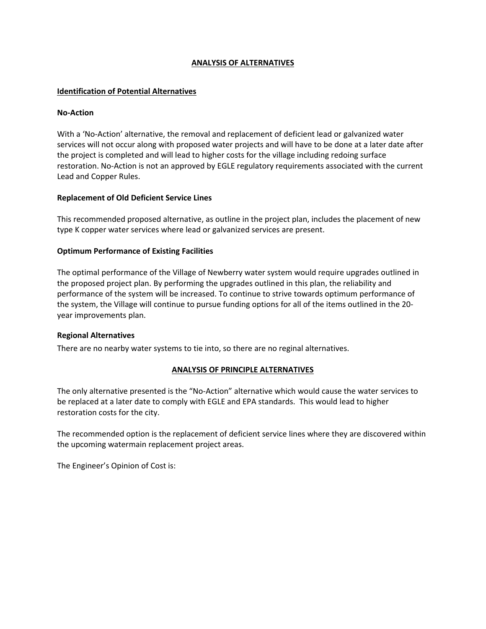## **ANALYSIS OF ALTERNATIVES**

## **Identification of Potential Alternatives**

#### **No-Action**

With a 'No-Action' alternative, the removal and replacement of deficient lead or galvanized water services will not occur along with proposed water projects and will have to be done at a later date after the project is completed and will lead to higher costs for the village including redoing surface restoration. No-Action is not an approved by EGLE regulatory requirements associated with the current Lead and Copper Rules.

### **Replacement of Old Deficient Service Lines**

This recommended proposed alternative, as outline in the project plan, includes the placement of new type K copper water services where lead or galvanized services are present.

### **Optimum Performance of Existing Facilities**

The optimal performance of the Village of Newberry water system would require upgrades outlined in the proposed project plan. By performing the upgrades outlined in this plan, the reliability and performance of the system will be increased. To continue to strive towards optimum performance of the system, the Village will continue to pursue funding options for all of the items outlined in the 20 year improvements plan.

#### **Regional Alternatives**

There are no nearby water systems to tie into, so there are no reginal alternatives.

## **ANALYSIS OF PRINCIPLE ALTERNATIVES**

The only alternative presented is the "No-Action" alternative which would cause the water services to be replaced at a later date to comply with EGLE and EPA standards. This would lead to higher restoration costs for the city.

The recommended option is the replacement of deficient service lines where they are discovered within the upcoming watermain replacement project areas.

The Engineer's Opinion of Cost is: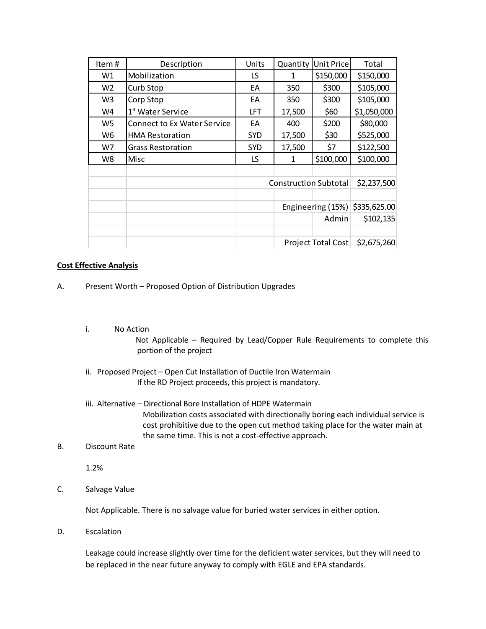| Item#          | Description                        | Units      | Quantity                       | Unit Price  | Total       |
|----------------|------------------------------------|------------|--------------------------------|-------------|-------------|
| W1             | Mobilization                       | LS         | 1                              | \$150,000   | \$150,000   |
| W <sub>2</sub> | Curb Stop                          | EA         | 350                            | \$300       | \$105,000   |
| W3             | Corp Stop                          | EA         | 350                            | \$300       | \$105,000   |
| W4             | 1" Water Service                   | LFT        | 17,500                         | \$60        | \$1,050,000 |
| W5             | <b>Connect to Ex Water Service</b> | EA         | 400                            | \$200       | \$80,000    |
| W6             | <b>HMA Restoration</b>             | <b>SYD</b> | 17,500                         | \$30        | \$525,000   |
| W7             | <b>Grass Restoration</b>           | <b>SYD</b> | 17,500                         | \$7         | \$122,500   |
| W8             | Misc                               | LS         | 1                              | \$100,000   | \$100,000   |
|                |                                    |            |                                |             |             |
|                |                                    |            | <b>Construction Subtotal</b>   |             | \$2,237,500 |
|                |                                    |            |                                |             |             |
|                |                                    |            | Engineering (15%) \$335,625.00 |             |             |
|                |                                    |            |                                | Admin       | \$102,135   |
|                |                                    |            |                                |             |             |
|                | Project Total Cost                 |            |                                | \$2,675,260 |             |

### **Cost Effective Analysis**

- A. Present Worth Proposed Option of Distribution Upgrades
	- i. No Action

Not Applicable – Required by Lead/Copper Rule Requirements to complete this portion of the project

- ii. Proposed Project Open Cut Installation of Ductile Iron Watermain If the RD Project proceeds, this project is mandatory.
- iii. Alternative Directional Bore Installation of HDPE Watermain Mobilization costs associated with directionally boring each individual service is cost prohibitive due to the open cut method taking place for the water main at the same time. This is not a cost-effective approach.
- B. Discount Rate

1.2%

C. Salvage Value

Not Applicable. There is no salvage value for buried water services in either option.

D. Escalation

Leakage could increase slightly over time for the deficient water services, but they will need to be replaced in the near future anyway to comply with EGLE and EPA standards.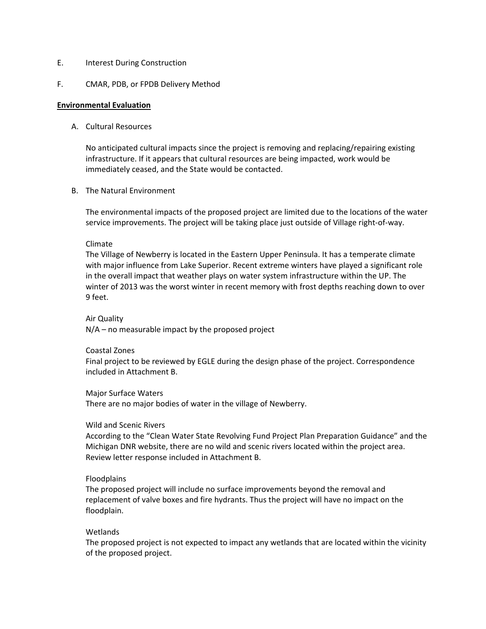### E. Interest During Construction

#### F. CMAR, PDB, or FPDB Delivery Method

#### **Environmental Evaluation**

### A. Cultural Resources

No anticipated cultural impacts since the project is removing and replacing/repairing existing infrastructure. If it appears that cultural resources are being impacted, work would be immediately ceased, and the State would be contacted.

#### B. The Natural Environment

The environmental impacts of the proposed project are limited due to the locations of the water service improvements. The project will be taking place just outside of Village right-of-way.

#### Climate

The Village of Newberry is located in the Eastern Upper Peninsula. It has a temperate climate with major influence from Lake Superior. Recent extreme winters have played a significant role in the overall impact that weather plays on water system infrastructure within the UP. The winter of 2013 was the worst winter in recent memory with frost depths reaching down to over 9 feet.

### Air Quality

N/A – no measurable impact by the proposed project

#### Coastal Zones

Final project to be reviewed by EGLE during the design phase of the project. Correspondence included in Attachment B.

#### Major Surface Waters

There are no major bodies of water in the village of Newberry.

#### Wild and Scenic Rivers

According to the "Clean Water State Revolving Fund Project Plan Preparation Guidance" and the Michigan DNR website, there are no wild and scenic rivers located within the project area. Review letter response included in Attachment B.

#### Floodplains

The proposed project will include no surface improvements beyond the removal and replacement of valve boxes and fire hydrants. Thus the project will have no impact on the floodplain.

#### Wetlands

The proposed project is not expected to impact any wetlands that are located within the vicinity of the proposed project.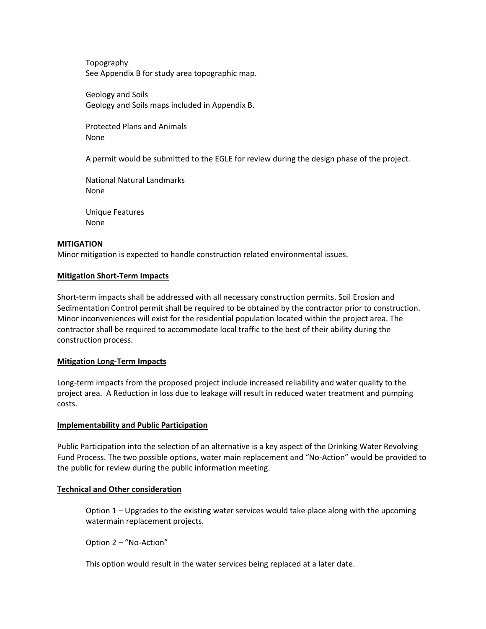Topography See Appendix B for study area topographic map.

Geology and Soils Geology and Soils maps included in Appendix B.

Protected Plans and Animals None

A permit would be submitted to the EGLE for review during the design phase of the project.

National Natural Landmarks None

Unique Features None

### **MITIGATION**

Minor mitigation is expected to handle construction related environmental issues.

### **Mitigation Short-Term Impacts**

Short-term impacts shall be addressed with all necessary construction permits. Soil Erosion and Sedimentation Control permit shall be required to be obtained by the contractor prior to construction. Minor inconveniences will exist for the residential population located within the project area. The contractor shall be required to accommodate local traffic to the best of their ability during the construction process.

#### **Mitigation Long-Term Impacts**

Long-term impacts from the proposed project include increased reliability and water quality to the project area. A Reduction in loss due to leakage will result in reduced water treatment and pumping costs.

#### **Implementability and Public Participation**

Public Participation into the selection of an alternative is a key aspect of the Drinking Water Revolving Fund Process. The two possible options, water main replacement and "No-Action" would be provided to the public for review during the public information meeting.

## **Technical and Other consideration**

Option 1 – Upgrades to the existing water services would take place along with the upcoming watermain replacement projects.

Option 2 – "No-Action"

This option would result in the water services being replaced at a later date.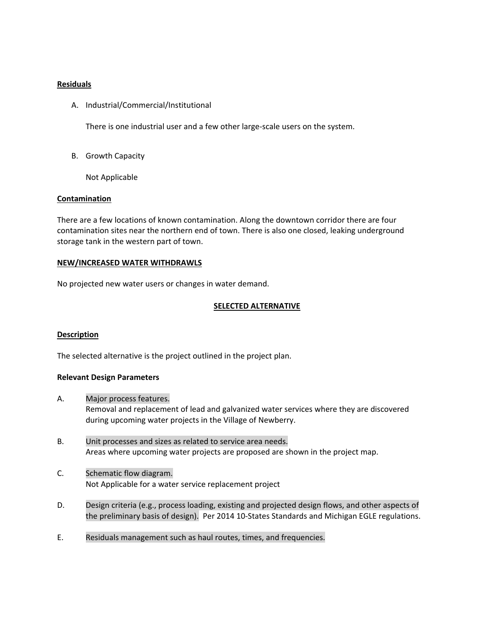## **Residuals**

A. Industrial/Commercial/Institutional

There is one industrial user and a few other large-scale users on the system.

B. Growth Capacity

Not Applicable

### **Contamination**

There are a few locations of known contamination. Along the downtown corridor there are four contamination sites near the northern end of town. There is also one closed, leaking underground storage tank in the western part of town.

#### **NEW/INCREASED WATER WITHDRAWLS**

No projected new water users or changes in water demand.

### **SELECTED ALTERNATIVE**

#### **Description**

The selected alternative is the project outlined in the project plan.

#### **Relevant Design Parameters**

- A. Major process features. Removal and replacement of lead and galvanized water services where they are discovered during upcoming water projects in the Village of Newberry.
- B. Unit processes and sizes as related to service area needs. Areas where upcoming water projects are proposed are shown in the project map.
- C. Schematic flow diagram. Not Applicable for a water service replacement project
- D. Design criteria (e.g., process loading, existing and projected design flows, and other aspects of the preliminary basis of design). Per 2014 10-States Standards and Michigan EGLE regulations.
- E. Residuals management such as haul routes, times, and frequencies.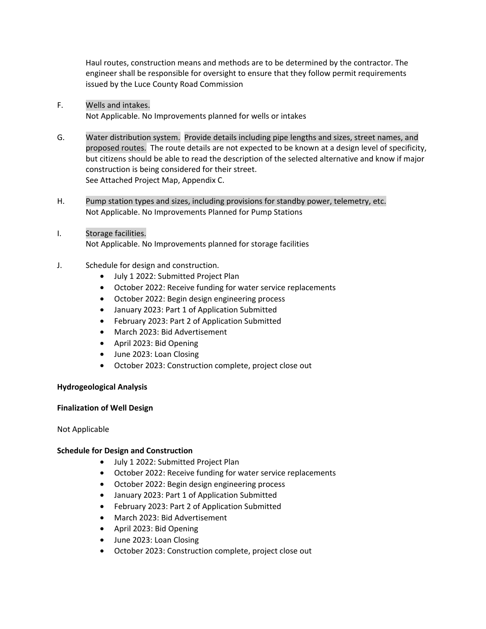Haul routes, construction means and methods are to be determined by the contractor. The engineer shall be responsible for oversight to ensure that they follow permit requirements issued by the Luce County Road Commission

- F. Wells and intakes. Not Applicable. No Improvements planned for wells or intakes
- G. Water distribution system. Provide details including pipe lengths and sizes, street names, and proposed routes. The route details are not expected to be known at a design level of specificity, but citizens should be able to read the description of the selected alternative and know if major construction is being considered for their street. See Attached Project Map, Appendix C.
- H. Pump station types and sizes, including provisions for standby power, telemetry, etc. Not Applicable. No Improvements Planned for Pump Stations
- I. Storage facilities. Not Applicable. No Improvements planned for storage facilities
- J. Schedule for design and construction.
	- July 1 2022: Submitted Project Plan
	- October 2022: Receive funding for water service replacements
	- October 2022: Begin design engineering process
	- January 2023: Part 1 of Application Submitted
	- February 2023: Part 2 of Application Submitted
	- March 2023: Bid Advertisement
	- April 2023: Bid Opening
	- June 2023: Loan Closing
	- October 2023: Construction complete, project close out

## **Hydrogeological Analysis**

## **Finalization of Well Design**

Not Applicable

## **Schedule for Design and Construction**

- July 1 2022: Submitted Project Plan
- October 2022: Receive funding for water service replacements
- October 2022: Begin design engineering process
- January 2023: Part 1 of Application Submitted
- February 2023: Part 2 of Application Submitted
- March 2023: Bid Advertisement
- April 2023: Bid Opening
- June 2023: Loan Closing
- October 2023: Construction complete, project close out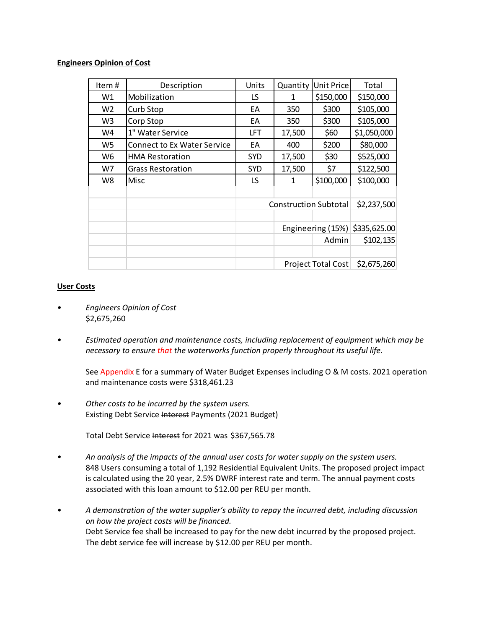## **Engineers Opinion of Cost**

| Item#          | Description                        | Units      | Quantity                       | Unit Price | Total       |
|----------------|------------------------------------|------------|--------------------------------|------------|-------------|
| W1             | Mobilization                       | LS         | 1                              | \$150,000  | \$150,000   |
| W <sub>2</sub> | Curb Stop                          | EA         | 350                            | \$300      | \$105,000   |
| W3             | Corp Stop                          | EA         | 350                            | \$300      | \$105,000   |
| W4             | 1" Water Service                   | LFT        | 17,500                         | \$60       | \$1,050,000 |
| W5             | <b>Connect to Ex Water Service</b> | EA         | 400                            | \$200      | \$80,000    |
| W6             | <b>HMA Restoration</b>             | <b>SYD</b> | 17,500                         | \$30       | \$525,000   |
| W7             | <b>Grass Restoration</b>           | <b>SYD</b> | 17,500                         | \$7        | \$122,500   |
| W8             | Misc                               | LS         | 1                              | \$100,000  | \$100,000   |
|                |                                    |            |                                |            |             |
|                |                                    |            | <b>Construction Subtotal</b>   |            | \$2,237,500 |
|                |                                    |            |                                |            |             |
|                |                                    |            | Engineering (15%) \$335,625.00 |            |             |
|                |                                    |            |                                | Admin      | \$102,135   |
|                |                                    |            |                                |            |             |
|                |                                    |            | Project Total Cost             |            | \$2,675,260 |

### **User Costs**

- *Engineers Opinion of Cost*  \$2,675,260
- *Estimated operation and maintenance costs, including replacement of equipment which may be necessary to ensure that the waterworks function properly throughout its useful life.*

See Appendix E for a summary of Water Budget Expenses including O & M costs. 2021 operation and maintenance costs were \$318,461.23

*• Other costs to be incurred by the system users.*  Existing Debt Service Interest Payments (2021 Budget)

Total Debt Service Interest for 2021 was \$367,565.78

- *An analysis of the impacts of the annual user costs for water supply on the system users.*  848 Users consuming a total of 1,192 Residential Equivalent Units. The proposed project impact is calculated using the 20 year, 2.5% DWRF interest rate and term. The annual payment costs associated with this loan amount to \$12.00 per REU per month.
- *A demonstration of the water supplier's ability to repay the incurred debt, including discussion on how the project costs will be financed.*  Debt Service fee shall be increased to pay for the new debt incurred by the proposed project. The debt service fee will increase by \$12.00 per REU per month.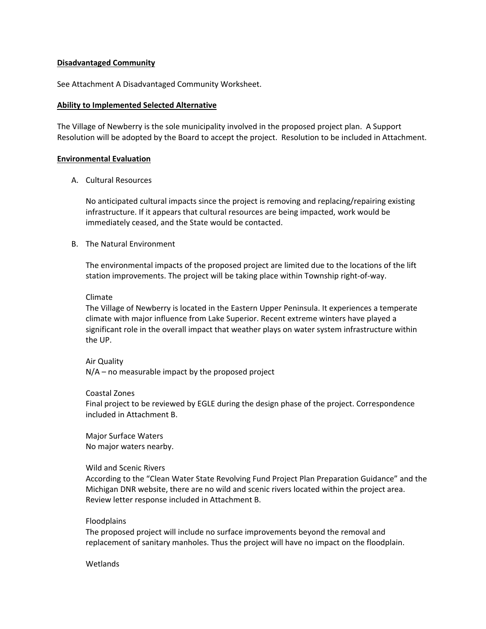#### **Disadvantaged Community**

See Attachment A Disadvantaged Community Worksheet.

#### **Ability to Implemented Selected Alternative**

The Village of Newberry is the sole municipality involved in the proposed project plan. A Support Resolution will be adopted by the Board to accept the project. Resolution to be included in Attachment.

#### **Environmental Evaluation**

A. Cultural Resources

No anticipated cultural impacts since the project is removing and replacing/repairing existing infrastructure. If it appears that cultural resources are being impacted, work would be immediately ceased, and the State would be contacted.

## B. The Natural Environment

The environmental impacts of the proposed project are limited due to the locations of the lift station improvements. The project will be taking place within Township right-of-way.

#### Climate

The Village of Newberry is located in the Eastern Upper Peninsula. It experiences a temperate climate with major influence from Lake Superior. Recent extreme winters have played a significant role in the overall impact that weather plays on water system infrastructure within the UP.

#### Air Quality

N/A – no measurable impact by the proposed project

#### Coastal Zones

Final project to be reviewed by EGLE during the design phase of the project. Correspondence included in Attachment B.

Major Surface Waters No major waters nearby.

#### Wild and Scenic Rivers

According to the "Clean Water State Revolving Fund Project Plan Preparation Guidance" and the Michigan DNR website, there are no wild and scenic rivers located within the project area. Review letter response included in Attachment B.

#### Floodplains

The proposed project will include no surface improvements beyond the removal and replacement of sanitary manholes. Thus the project will have no impact on the floodplain.

#### **Wetlands**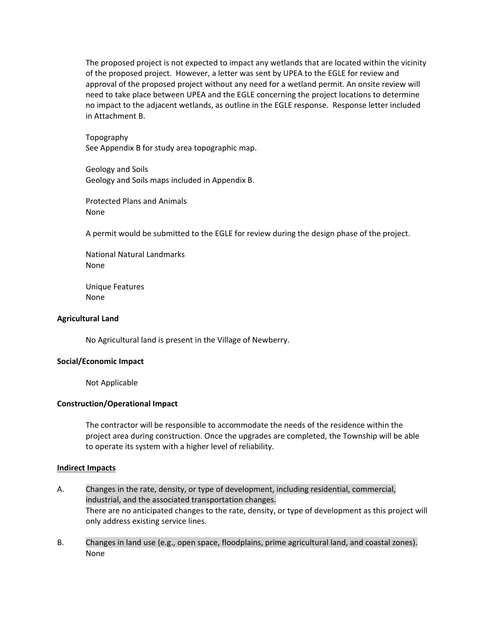The proposed project is not expected to impact any wetlands that are located within the vicinity of the proposed project. However, a letter was sent by UPEA to the EGLE for review and approval of the proposed project without any need for a wetland permit. An onsite review will need to take place between UPEA and the EGLE concerning the project locations to determine no impact to the adjacent wetlands, as outline in the EGLE response. Response letter included in Attachment B.

Topography See Appendix B for study area topographic map.

Geology and Soils Geology and Soils maps included in Appendix B.

Protected Plans and Animals None

A permit would be submitted to the EGLE for review during the design phase of the project.

National Natural Landmarks None

Unique Features None

#### **Agricultural Land**

No Agricultural land is present in the Village of Newberry.

#### **Social/Economic Impact**

Not Applicable

#### **Construction/Operational Impact**

The contractor will be responsible to accommodate the needs of the residence within the project area during construction. Once the upgrades are completed, the Township will be able to operate its system with a higher level of reliability.

#### **Indirect Impacts**

- A. Changes in the rate, density, or type of development, including residential, commercial, industrial, and the associated transportation changes. There are no anticipated changes to the rate, density, or type of development as this project will only address existing service lines.
- B. Changes in land use (e.g., open space, floodplains, prime agricultural land, and coastal zones). None